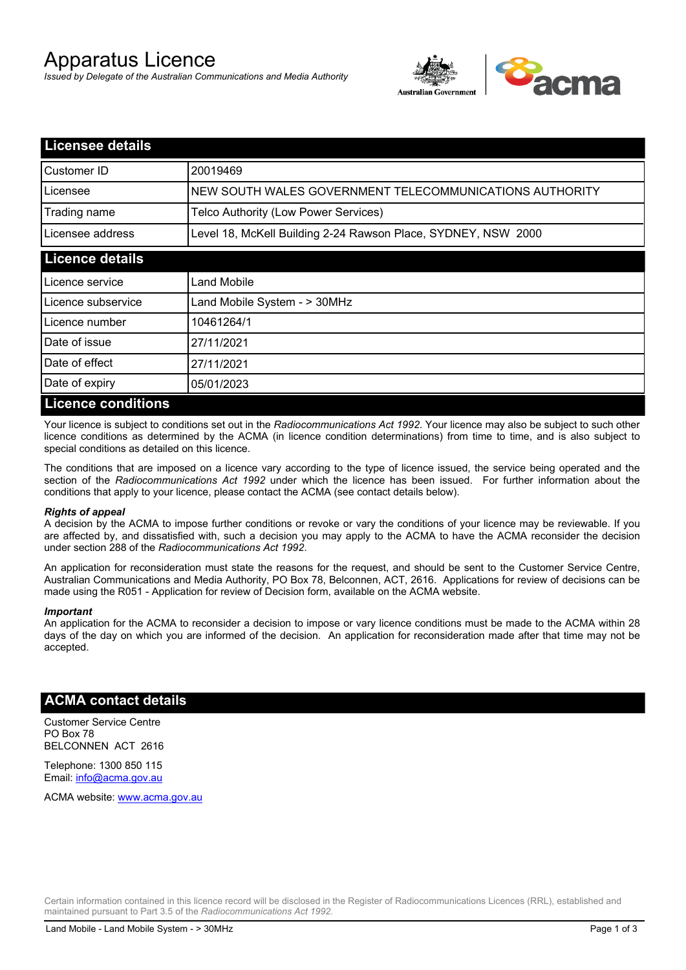# Apparatus Licence

*Issued by Delegate of the Australian Communications and Media Authority*



| <b>Licensee details</b>   |                                                               |  |
|---------------------------|---------------------------------------------------------------|--|
| Customer ID               | 20019469                                                      |  |
| Licensee                  | NEW SOUTH WALES GOVERNMENT TELECOMMUNICATIONS AUTHORITY       |  |
| Trading name              | Telco Authority (Low Power Services)                          |  |
| Licensee address          | Level 18, McKell Building 2-24 Rawson Place, SYDNEY, NSW 2000 |  |
| <b>Licence details</b>    |                                                               |  |
| l Licence service         | Land Mobile                                                   |  |
| Licence subservice        | Land Mobile System - > 30MHz                                  |  |
| Licence number            | 10461264/1                                                    |  |
| Date of issue             | 27/11/2021                                                    |  |
| Date of effect            | 27/11/2021                                                    |  |
| Date of expiry            | 05/01/2023                                                    |  |
| <b>Licence conditions</b> |                                                               |  |

Your licence is subject to conditions set out in the *Radiocommunications Act 1992*. Your licence may also be subject to such other licence conditions as determined by the ACMA (in licence condition determinations) from time to time, and is also subject to special conditions as detailed on this licence.

The conditions that are imposed on a licence vary according to the type of licence issued, the service being operated and the section of the *Radiocommunications Act 1992* under which the licence has been issued. For further information about the conditions that apply to your licence, please contact the ACMA (see contact details below).

#### *Rights of appeal*

A decision by the ACMA to impose further conditions or revoke or vary the conditions of your licence may be reviewable. If you are affected by, and dissatisfied with, such a decision you may apply to the ACMA to have the ACMA reconsider the decision under section 288 of the *Radiocommunications Act 1992*.

An application for reconsideration must state the reasons for the request, and should be sent to the Customer Service Centre, Australian Communications and Media Authority, PO Box 78, Belconnen, ACT, 2616. Applications for review of decisions can be made using the R051 - Application for review of Decision form, available on the ACMA website.

#### *Important*

An application for the ACMA to reconsider a decision to impose or vary licence conditions must be made to the ACMA within 28 days of the day on which you are informed of the decision. An application for reconsideration made after that time may not be accepted.

### **ACMA contact details**

Customer Service Centre PO Box 78 BELCONNEN ACT 2616

Telephone: 1300 850 115 Email: info@acma.gov.au

ACMA website: www.acma.gov.au

Certain information contained in this licence record will be disclosed in the Register of Radiocommunications Licences (RRL), established and maintained pursuant to Part 3.5 of the *Radiocommunications Act 1992.*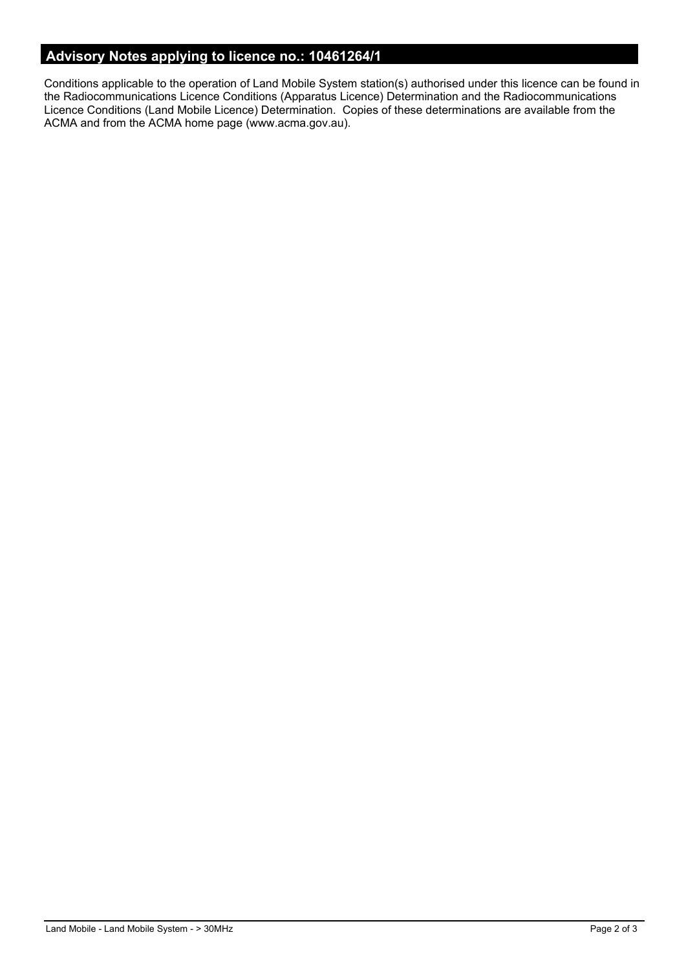# **Advisory Notes applying to licence no.: 10461264/1**

Conditions applicable to the operation of Land Mobile System station(s) authorised under this licence can be found in the Radiocommunications Licence Conditions (Apparatus Licence) Determination and the Radiocommunications Licence Conditions (Land Mobile Licence) Determination. Copies of these determinations are available from the ACMA and from the ACMA home page (www.acma.gov.au).